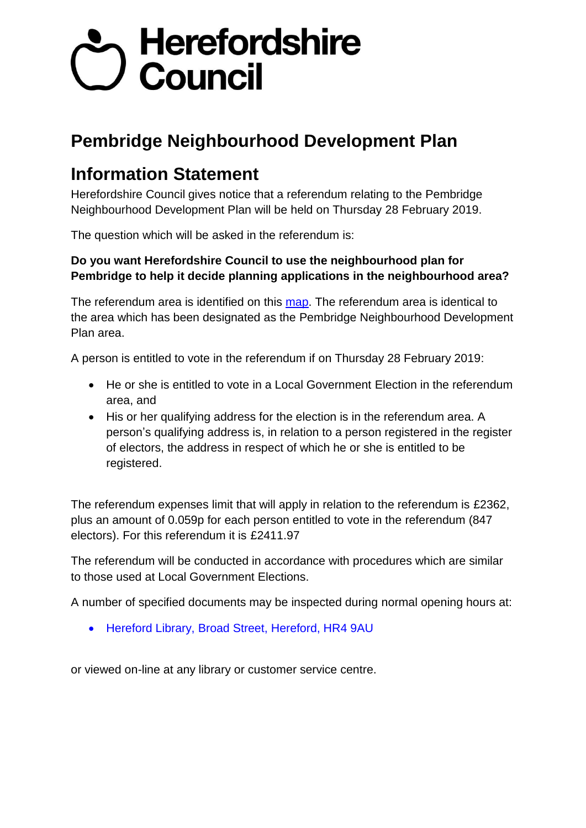## Sy Herefordshire<br>Council

## **Pembridge Neighbourhood Development Plan**

## **Information Statement**

Herefordshire Council gives notice that a referendum relating to the Pembridge Neighbourhood Development Plan will be held on Thursday 28 February 2019.

The question which will be asked in the referendum is:

## **Do you want Herefordshire Council to use the neighbourhood plan for Pembridge to help it decide planning applications in the neighbourhood area?**

The referendum area is identified on this map. The referendum area is identical to the area which has been designated as the Pembridge Neighbourhood Development Plan area.

A person is entitled to vote in the referendum if on Thursday 28 February 2019:

- He or she is entitled to vote in a Local Government Election in the referendum area, and
- His or her qualifying address for the election is in the referendum area. A person's qualifying address is, in relation to a person registered in the register of electors, the address in respect of which he or she is entitled to be registered.

The referendum expenses limit that will apply in relation to the referendum is £2362, plus an amount of 0.059p for each person entitled to vote in the referendum (847 electors). For this referendum it is £2411.97

The referendum will be conducted in accordance with procedures which are similar to those used at Local Government Elections.

A number of specified documents may be inspected during normal opening hours at:

• Hereford Library, Broad Street, Hereford, HR4 9AU

or viewed on-line at any library or customer service centre.